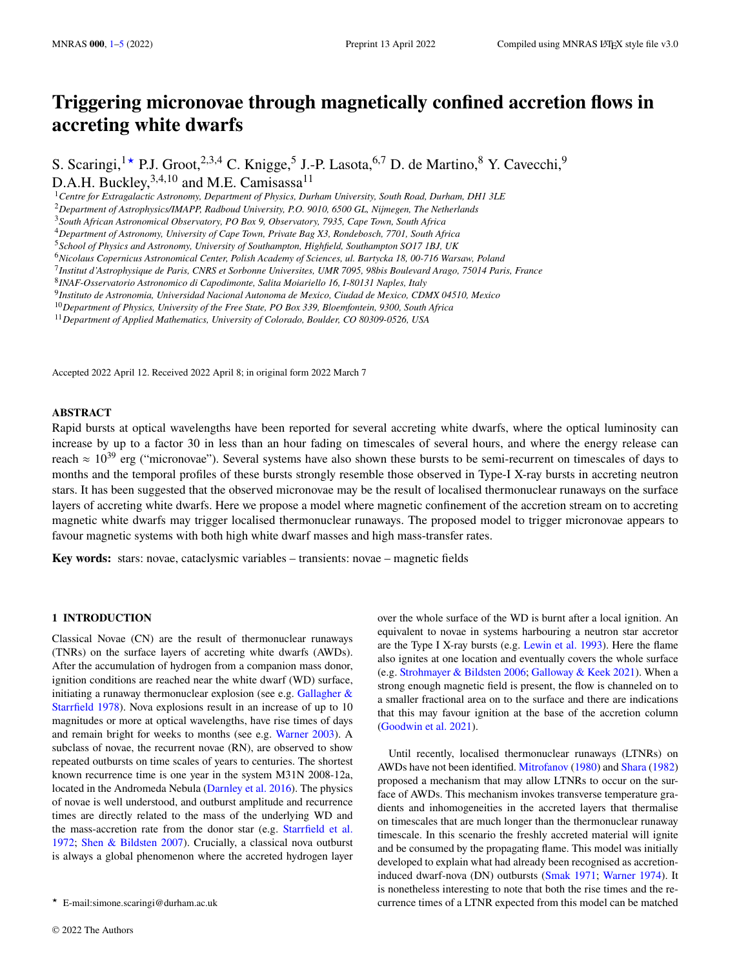# **Triggering micronovae through magnetically confined accretion flows in accreting white dwarfs**

S. Scaringi,<sup>1</sup> \* P.J. Groot,<sup>2,3,4</sup> C. Knigge,<sup>5</sup> J.-P. Lasota,<sup>6,7</sup> D. de Martino,<sup>8</sup> Y. Cavecchi,<sup>9</sup> D.A.H. Buckley, <sup>3,4,10</sup> and M.E. Camisassa<sup>11</sup>

<sup>1</sup>*Centre for Extragalactic Astronomy, Department of Physics, Durham University, South Road, Durham, DH1 3LE*

<sup>2</sup>*Department of Astrophysics/IMAPP, Radboud University, P.O. 9010, 6500 GL, Nijmegen, The Netherlands*

<sup>4</sup>*Department of Astronomy, University of Cape Town, Private Bag X3, Rondebosch, 7701, South Africa*

<sup>6</sup>*Nicolaus Copernicus Astronomical Center, Polish Academy of Sciences, ul. Bartycka 18, 00-716 Warsaw, Poland*

9 *Instituto de Astronomia, Universidad Nacional Autonoma de Mexico, Ciudad de Mexico, CDMX 04510, Mexico*

<sup>10</sup>*Department of Physics, University of the Free State, PO Box 339, Bloemfontein, 9300, South Africa*

<sup>11</sup>*Department of Applied Mathematics, University of Colorado, Boulder, CO 80309-0526, USA*

Accepted 2022 April 12. Received 2022 April 8; in original form 2022 March 7

#### **ABSTRACT**

Rapid bursts at optical wavelengths have been reported for several accreting white dwarfs, where the optical luminosity can increase by up to a factor 30 in less than an hour fading on timescales of several hours, and where the energy release can reach  $\approx 10^{39}$  erg ("micronovae"). Several systems have also shown these bursts to be semi-recurrent on timescales of days to months and the temporal profiles of these bursts strongly resemble those observed in Type-I X-ray bursts in accreting neutron stars. It has been suggested that the observed micronovae may be the result of localised thermonuclear runaways on the surface layers of accreting white dwarfs. Here we propose a model where magnetic confinement of the accretion stream on to accreting magnetic white dwarfs may trigger localised thermonuclear runaways. The proposed model to trigger micronovae appears to favour magnetic systems with both high white dwarf masses and high mass-transfer rates.

**Key words:** stars: novae, cataclysmic variables – transients: novae – magnetic fields

## <span id="page-0-0"></span>**1 INTRODUCTION**

Classical Novae (CN) are the result of thermonuclear runaways (TNRs) on the surface layers of accreting white dwarfs (AWDs). After the accumulation of hydrogen from a companion mass donor, ignition conditions are reached near the white dwarf (WD) surface, initiating a runaway thermonuclear explosion (see e.g. Gallagher  $\&$ [Starrfield](#page-4-0) [1978\)](#page-4-0). Nova explosions result in an increase of up to 10 magnitudes or more at optical wavelengths, have rise times of days and remain bright for weeks to months (see e.g. [Warner](#page-4-1) [2003\)](#page-4-1). A subclass of novae, the recurrent novae (RN), are observed to show repeated outbursts on time scales of years to centuries. The shortest known recurrence time is one year in the system M31N 2008-12a, located in the Andromeda Nebula [\(Darnley et al.](#page-4-2) [2016\)](#page-4-2). The physics of novae is well understood, and outburst amplitude and recurrence times are directly related to the mass of the underlying WD and the mass-accretion rate from the donor star (e.g. [Starrfield et al.](#page-4-3) [1972;](#page-4-3) [Shen & Bildsten](#page-4-4) [2007\)](#page-4-4). Crucially, a classical nova outburst is always a global phenomenon where the accreted hydrogen layer

over the whole surface of the WD is burnt after a local ignition. An equivalent to novae in systems harbouring a neutron star accretor are the Type I X-ray bursts (e.g. [Lewin et al.](#page-4-5) [1993\)](#page-4-5). Here the flame also ignites at one location and eventually covers the whole surface (e.g. [Strohmayer & Bildsten](#page-4-6) [2006;](#page-4-6) [Galloway & Keek](#page-4-7) [2021\)](#page-4-7). When a strong enough magnetic field is present, the flow is channeled on to a smaller fractional area on to the surface and there are indications that this may favour ignition at the base of the accretion column [\(Goodwin et al.](#page-4-8) [2021\)](#page-4-8).

Until recently, localised thermonuclear runaways (LTNRs) on AWDs have not been identified. [Mitrofanov](#page-4-9) [\(1980\)](#page-4-9) and [Shara](#page-4-10) [\(1982\)](#page-4-10) proposed a mechanism that may allow LTNRs to occur on the surface of AWDs. This mechanism invokes transverse temperature gradients and inhomogeneities in the accreted layers that thermalise on timescales that are much longer than the thermonuclear runaway timescale. In this scenario the freshly accreted material will ignite and be consumed by the propagating flame. This model was initially developed to explain what had already been recognised as accretioninduced dwarf-nova (DN) outbursts [\(Smak](#page-4-11) [1971;](#page-4-11) [Warner](#page-4-12) [1974\)](#page-4-12). It is nonetheless interesting to note that both the rise times and the recurrence times of a LTNR expected from this model can be matched

<sup>3</sup>*South African Astronomical Observatory, PO Box 9, Observatory, 7935, Cape Town, South Africa*

<sup>5</sup>*School of Physics and Astronomy, University of Southampton, Highfield, Southampton SO17 1BJ, UK*

<sup>7</sup> *Institut d'Astrophysique de Paris, CNRS et Sorbonne Universites, UMR 7095, 98bis Boulevard Arago, 75014 Paris, France*

<sup>8</sup> *INAF-Osservatorio Astronomico di Capodimonte, Salita Moiariello 16, I-80131 Naples, Italy*

<sup>★</sup> E-mail:simone.scaringi@durham.ac.uk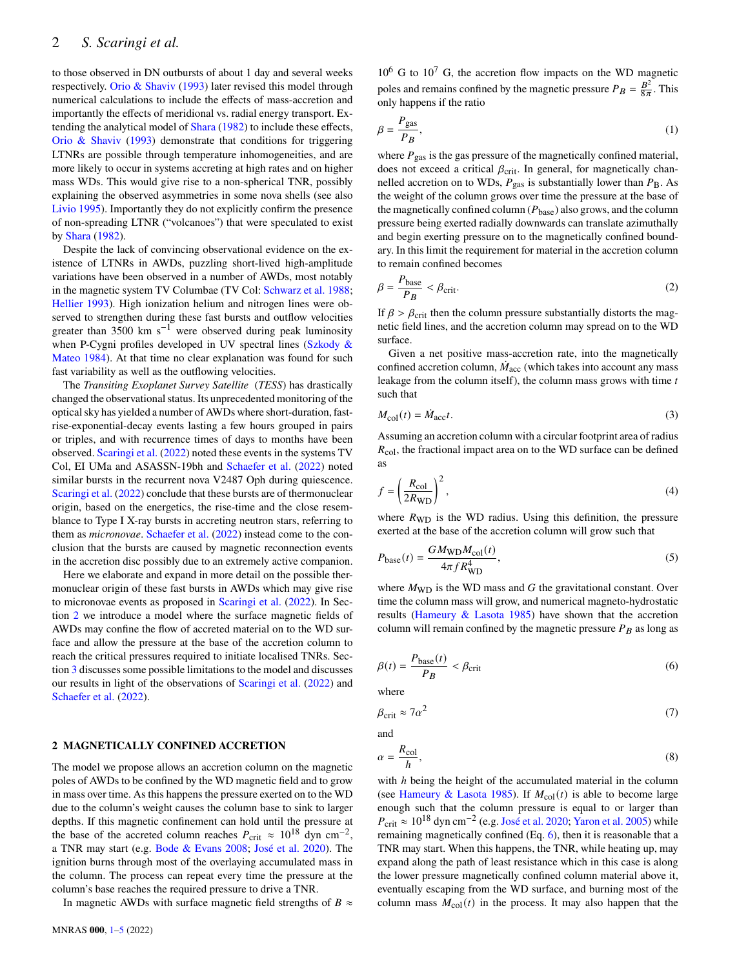to those observed in DN outbursts of about 1 day and several weeks respectively. [Orio & Shaviv](#page-4-13) [\(1993\)](#page-4-13) later revised this model through numerical calculations to include the effects of mass-accretion and importantly the effects of meridional vs. radial energy transport. Extending the analytical model of [Shara](#page-4-10) [\(1982\)](#page-4-10) to include these effects, [Orio & Shaviv](#page-4-13) [\(1993\)](#page-4-13) demonstrate that conditions for triggering LTNRs are possible through temperature inhomogeneities, and are more likely to occur in systems accreting at high rates and on higher mass WDs. This would give rise to a non-spherical TNR, possibly explaining the observed asymmetries in some nova shells (see also [Livio](#page-4-14) [1995\)](#page-4-14). Importantly they do not explicitly confirm the presence of non-spreading LTNR ("volcanoes") that were speculated to exist by [Shara](#page-4-10) [\(1982\)](#page-4-10).

Despite the lack of convincing observational evidence on the existence of LTNRs in AWDs, puzzling short-lived high-amplitude variations have been observed in a number of AWDs, most notably in the magnetic system TV Columbae (TV Col: [Schwarz et al.](#page-4-15) [1988;](#page-4-15) [Hellier](#page-4-16) [1993\)](#page-4-16). High ionization helium and nitrogen lines were observed to strengthen during these fast bursts and outflow velocities greater than 3500 km s<sup> $-1$ </sup> were observed during peak luminosity when P-Cygni profiles developed in UV spectral lines [\(Szkody &](#page-4-17) [Mateo](#page-4-17) [1984\)](#page-4-17). At that time no clear explanation was found for such fast variability as well as the outflowing velocities.

The Transiting Exoplanet Survey Satellite (*TESS*) has drastically changed the observational status. Its unprecedented monitoring of the optical sky has yielded a number of AWDs where short-duration, fastrise-exponential-decay events lasting a few hours grouped in pairs or triples, and with recurrence times of days to months have been observed. [Scaringi et al.](#page-4-18) [\(2022\)](#page-4-18) noted these events in the systems TV Col, EI UMa and ASASSN-19bh and [Schaefer et al.](#page-4-19) [\(2022\)](#page-4-19) noted similar bursts in the recurrent nova V2487 Oph during quiescence. [Scaringi et al.](#page-4-18) [\(2022\)](#page-4-18) conclude that these bursts are of thermonuclear origin, based on the energetics, the rise-time and the close resemblance to Type I X-ray bursts in accreting neutron stars, referring to them as *micronovae*. [Schaefer et al.](#page-4-19) [\(2022\)](#page-4-19) instead come to the conclusion that the bursts are caused by magnetic reconnection events in the accretion disc possibly due to an extremely active companion.

Here we elaborate and expand in more detail on the possible thermonuclear origin of these fast bursts in AWDs which may give rise to micronovae events as proposed in [Scaringi et al.](#page-4-18) [\(2022\)](#page-4-18). In Section [2](#page-1-0) we introduce a model where the surface magnetic fields of AWDs may confine the flow of accreted material on to the WD surface and allow the pressure at the base of the accretion column to reach the critical pressures required to initiate localised TNRs. Section [3](#page-3-0) discusses some possible limitations to the model and discusses our results in light of the observations of [Scaringi et al.](#page-4-18) [\(2022\)](#page-4-18) and [Schaefer et al.](#page-4-19) [\(2022\)](#page-4-19).

#### <span id="page-1-0"></span>**2 MAGNETICALLY CONFINED ACCRETION**

The model we propose allows an accretion column on the magnetic poles of AWDs to be confined by the WD magnetic field and to grow in mass over time. As this happens the pressure exerted on to the WD due to the column's weight causes the column base to sink to larger depths. If this magnetic confinement can hold until the pressure at the base of the accreted column reaches  $P_{\text{crit}} \approx 10^{18} \text{ dyn cm}^{-2}$ , a TNR may start (e.g. [Bode & Evans](#page-4-20) [2008;](#page-4-20) [José et al.](#page-4-21) [2020\)](#page-4-21). The ignition burns through most of the overlaying accumulated mass in the column. The process can repeat every time the pressure at the column's base reaches the required pressure to drive a TNR.

In magnetic AWDs with surface magnetic field strengths of  $B \approx$ 

 $10^6$  G to  $10^7$  G, the accretion flow impacts on the WD magnetic poles and remains confined by the magnetic pressure  $P_B = \frac{B^2}{8\pi}$ . This only happens if the ratio

$$
\beta = \frac{P_{\text{gas}}}{P_B},\tag{1}
$$

where  $P_{\text{gas}}$  is the gas pressure of the magnetically confined material, does not exceed a critical  $\beta_{\text{crit}}$ . In general, for magnetically channelled accretion on to WDs,  $P_{\text{gas}}$  is substantially lower than  $P_{\text{B}}$ . As the weight of the column grows over time the pressure at the base of the magnetically confined column ( $P_{\text{base}}$ ) also grows, and the column pressure being exerted radially downwards can translate azimuthally and begin exerting pressure on to the magnetically confined boundary. In this limit the requirement for material in the accretion column to remain confined becomes

$$
\beta = \frac{P_{\text{base}}}{P_B} < \beta_{\text{crit}}.\tag{2}
$$

If  $\beta > \beta_{\text{crit}}$  then the column pressure substantially distorts the magnetic field lines, and the accretion column may spread on to the WD surface.

Given a net positive mass-accretion rate, into the magnetically confined accretion column,  $\dot{M}_{\rm acc}$  (which takes into account any mass leakage from the column itself), the column mass grows with time  $t$ such that

$$
M_{\rm col}(t) = \dot{M}_{\rm acc}t.\tag{3}
$$

Assuming an accretion column with a circular footprint area of radius  $R_{\rm col}$ , the fractional impact area on to the WD surface can be defined as

$$
f = \left(\frac{R_{\rm col}}{2R_{\rm WD}}\right)^2,\tag{4}
$$

where  $R_{WD}$  is the WD radius. Using this definition, the pressure exerted at the base of the accretion column will grow such that

<span id="page-1-2"></span>
$$
P_{\text{base}}(t) = \frac{GM_{\text{WD}}M_{\text{col}}(t)}{4\pi f R_{\text{WD}}^4},\tag{5}
$$

where  $M_{WD}$  is the WD mass and G the gravitational constant. Over time the column mass will grow, and numerical magneto-hydrostatic results [\(Hameury & Lasota](#page-4-22) [1985\)](#page-4-22) have shown that the accretion column will remain confined by the magnetic pressure  $P_B$  as long as

<span id="page-1-1"></span>
$$
\beta(t) = \frac{P_{\text{base}}(t)}{P_B} < \beta_{\text{crit}} \tag{6}
$$

where

$$
\beta_{\rm crit} \approx 7\alpha^2 \tag{7}
$$

and

$$
\alpha = \frac{R_{\rm col}}{h},\tag{8}
$$

with  $h$  being the height of the accumulated material in the column (see [Hameury & Lasota](#page-4-22) [1985\)](#page-4-22). If  $M_{\text{col}}(t)$  is able to become large enough such that the column pressure is equal to or larger than  $P_{\text{crit}} \approx 10^{18} \text{ dyn cm}^{-2}$  (e.g. [José et al.](#page-4-21) [2020;](#page-4-21) [Yaron et al.](#page-4-23) [2005\)](#page-4-23) while remaining magnetically confined (Eq. [6\)](#page-1-1), then it is reasonable that a TNR may start. When this happens, the TNR, while heating up, may expand along the path of least resistance which in this case is along the lower pressure magnetically confined column material above it, eventually escaping from the WD surface, and burning most of the column mass  $M_{\text{col}}(t)$  in the process. It may also happen that the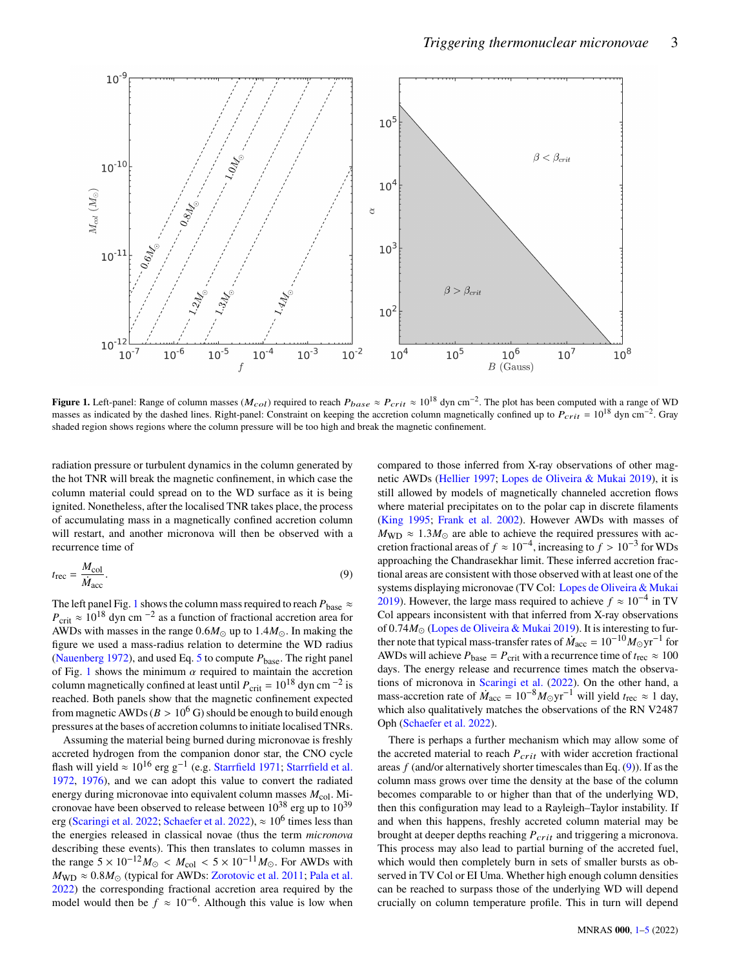

**Figure 1.** Left-panel: Range of column masses ( $M_{col}$ ) required to reach  $P_{base} \approx P_{crit} \approx 10^{18}$  dyn cm<sup>-2</sup>. The plot has been computed with a range of WD masses as indicated by the dashed lines. Right-panel: Constraint on keeping the accretion column magnetically confined up to  $P_{crit} = 10^{18}$  dyn cm<sup>-2</sup>. Gray shaded region shows regions where the column pressure will be too high and break the magnetic confinement.

radiation pressure or turbulent dynamics in the column generated by the hot TNR will break the magnetic confinement, in which case the column material could spread on to the WD surface as it is being ignited. Nonetheless, after the localised TNR takes place, the process of accumulating mass in a magnetically confined accretion column will restart, and another micronova will then be observed with a recurrence time of

<span id="page-2-1"></span>
$$
t_{\rm rec} = \frac{M_{\rm col}}{\dot{M}_{\rm acc}}.\tag{9}
$$

The left panel Fig. [1](#page-2-0) shows the column mass required to reach  $P_{\text{base}} \approx$  $P_{\text{crit}} \approx 10^{18}$  dyn cm<sup>-2</sup> as a function of fractional accretion area for AWDs with masses in the range  $0.6M_{\odot}$  up to  $1.4M_{\odot}$ . In making the figure we used a mass-radius relation to determine the WD radius [\(Nauenberg](#page-4-24) [1972\)](#page-4-24), and used Eq. [5](#page-1-2) to compute  $P_{base}$ . The right panel of Fig. [1](#page-2-0) shows the minimum  $\alpha$  required to maintain the accretion column magnetically confined at least until  $P_{\text{crit}} = 10^{18}$  dyn cm <sup>-2</sup> is reached. Both panels show that the magnetic confinement expected from magnetic AWDs ( $B > 10^6$  G) should be enough to build enough pressures at the bases of accretion columns to initiate localised TNRs.

Assuming the material being burned during micronovae is freshly accreted hydrogen from the companion donor star, the CNO cycle flash will yield  $\approx 10^{16}$  erg g<sup>-1</sup> (e.g. [Starrfield](#page-4-25) [1971;](#page-4-25) [Starrfield et al.](#page-4-3) [1972,](#page-4-3) [1976\)](#page-4-26), and we can adopt this value to convert the radiated energy during micronovae into equivalent column masses  $M_{\text{col}}$ . Micronovae have been observed to release between  $10^{38}$  erg up to  $10^{39}$ erg [\(Scaringi et al.](#page-4-18) [2022;](#page-4-18) [Schaefer et al.](#page-4-19) [2022\)](#page-4-19),  $\approx 10^6$  times less than the energies released in classical novae (thus the term micronova describing these events). This then translates to column masses in the range  $5 \times 10^{-12} M_{\odot} < M_{\text{col}} < 5 \times 10^{-11} M_{\odot}$ . For AWDs with  $M_{\text{WD}} \approx 0.8 M_{\odot}$  (typical for AWDs: [Zorotovic et al.](#page-4-27) [2011;](#page-4-27) [Pala et al.](#page-4-28) [2022\)](#page-4-28) the corresponding fractional accretion area required by the model would then be  $f \approx 10^{-6}$ . Although this value is low when <span id="page-2-0"></span>compared to those inferred from X-ray observations of other magnetic AWDs [\(Hellier](#page-4-29) [1997;](#page-4-29) [Lopes de Oliveira & Mukai](#page-4-30) [2019\)](#page-4-30), it is still allowed by models of magnetically channeled accretion flows where material precipitates on to the polar cap in discrete filaments [\(King](#page-4-31) [1995;](#page-4-31) [Frank et al.](#page-4-32) [2002\)](#page-4-32). However AWDs with masses of  $M_{\text{WD}} \approx 1.3 M_{\odot}$  are able to achieve the required pressures with accretion fractional areas of  $f \approx 10^{-4}$ , increasing to  $f > 10^{-3}$  for WDs approaching the Chandrasekhar limit. These inferred accretion fractional areas are consistent with those observed with at least one of the systems displaying micronovae (TV Col: [Lopes de Oliveira & Mukai](#page-4-30) [2019\)](#page-4-30). However, the large mass required to achieve  $f \approx 10^{-4}$  in TV Col appears inconsistent with that inferred from X-ray observations of 0.74 $M_{\odot}$  [\(Lopes de Oliveira & Mukai](#page-4-30) [2019\)](#page-4-30). It is interesting to further note that typical mass-transfer rates of  $\dot{M}_{\rm acc} = 10^{-10} M_{\odot} \text{yr}^{-1}$  for AWDs will achieve  $P_{base} = P_{crit}$  with a recurrence time of  $t_{rec} \approx 100$ days. The energy release and recurrence times match the observations of micronova in [Scaringi et al.](#page-4-18) [\(2022\)](#page-4-18). On the other hand, a mass-accretion rate of  $\dot{M}_{\text{acc}} = 10^{-8} M_{\odot} \text{yr}^{-1}$  will yield  $t_{\text{rec}} \approx 1$  day, which also qualitatively matches the observations of the RN V2487 Oph [\(Schaefer et al.](#page-4-19) [2022\)](#page-4-19).

There is perhaps a further mechanism which may allow some of the accreted material to reach  $P_{crit}$  with wider accretion fractional areas  $f$  (and/or alternatively shorter timescales than Eq.  $(9)$ ). If as the column mass grows over time the density at the base of the column becomes comparable to or higher than that of the underlying WD, then this configuration may lead to a Rayleigh–Taylor instability. If and when this happens, freshly accreted column material may be brought at deeper depths reaching  $P_{crit}$  and triggering a micronova. This process may also lead to partial burning of the accreted fuel, which would then completely burn in sets of smaller bursts as observed in TV Col or EI Uma. Whether high enough column densities can be reached to surpass those of the underlying WD will depend crucially on column temperature profile. This in turn will depend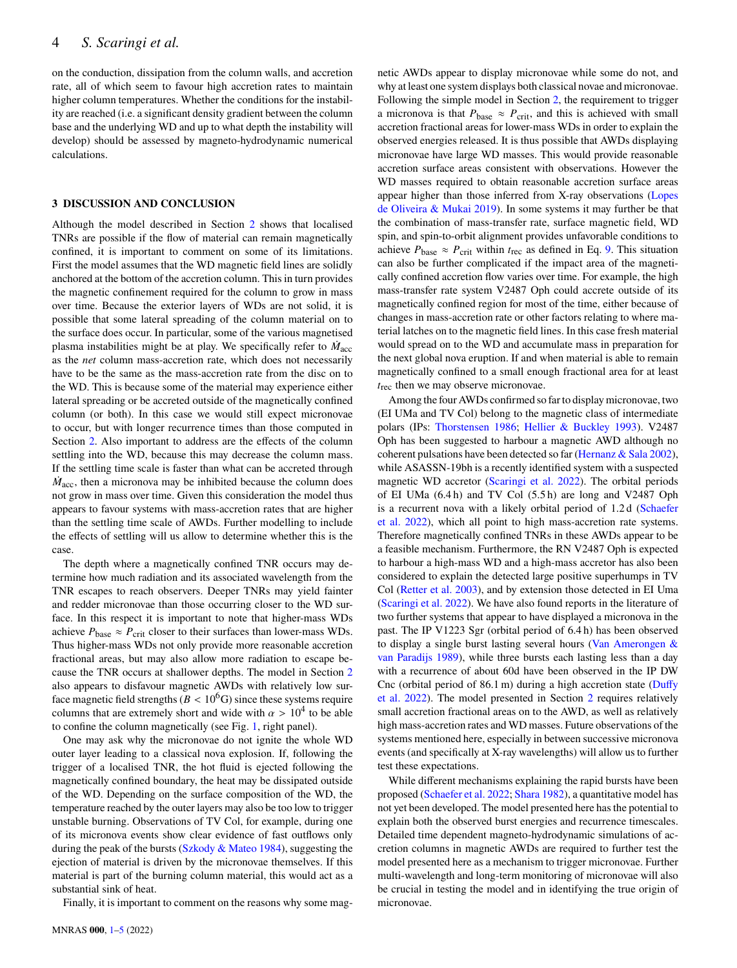on the conduction, dissipation from the column walls, and accretion rate, all of which seem to favour high accretion rates to maintain higher column temperatures. Whether the conditions for the instability are reached (i.e. a significant density gradient between the column base and the underlying WD and up to what depth the instability will develop) should be assessed by magneto-hydrodynamic numerical calculations.

#### <span id="page-3-0"></span>**3 DISCUSSION AND CONCLUSION**

Although the model described in Section [2](#page-1-0) shows that localised TNRs are possible if the flow of material can remain magnetically confined, it is important to comment on some of its limitations. First the model assumes that the WD magnetic field lines are solidly anchored at the bottom of the accretion column. This in turn provides the magnetic confinement required for the column to grow in mass over time. Because the exterior layers of WDs are not solid, it is possible that some lateral spreading of the column material on to the surface does occur. In particular, some of the various magnetised plasma instabilities might be at play. We specifically refer to  $\dot{M}_{\rm acc}$ as the *net* column mass-accretion rate, which does not necessarily have to be the same as the mass-accretion rate from the disc on to the WD. This is because some of the material may experience either lateral spreading or be accreted outside of the magnetically confined column (or both). In this case we would still expect micronovae to occur, but with longer recurrence times than those computed in Section [2.](#page-1-0) Also important to address are the effects of the column settling into the WD, because this may decrease the column mass. If the settling time scale is faster than what can be accreted through  $\dot{M}_{\text{acc}}$ , then a micronova may be inhibited because the column does not grow in mass over time. Given this consideration the model thus appears to favour systems with mass-accretion rates that are higher than the settling time scale of AWDs. Further modelling to include the effects of settling will us allow to determine whether this is the case.

The depth where a magnetically confined TNR occurs may determine how much radiation and its associated wavelength from the TNR escapes to reach observers. Deeper TNRs may yield fainter and redder micronovae than those occurring closer to the WD surface. In this respect it is important to note that higher-mass WDs achieve  $P_{\text{base}} \approx P_{\text{crit}}$  closer to their surfaces than lower-mass WDs. Thus higher-mass WDs not only provide more reasonable accretion fractional areas, but may also allow more radiation to escape because the TNR occurs at shallower depths. The model in Section [2](#page-1-0) also appears to disfavour magnetic AWDs with relatively low surface magnetic field strengths ( $B < 10<sup>6</sup>G$ ) since these systems require columns that are extremely short and wide with  $\alpha > 10^4$  to be able to confine the column magnetically (see Fig. [1,](#page-2-0) right panel).

One may ask why the micronovae do not ignite the whole WD outer layer leading to a classical nova explosion. If, following the trigger of a localised TNR, the hot fluid is ejected following the magnetically confined boundary, the heat may be dissipated outside of the WD. Depending on the surface composition of the WD, the temperature reached by the outer layers may also be too low to trigger unstable burning. Observations of TV Col, for example, during one of its micronova events show clear evidence of fast outflows only during the peak of the bursts [\(Szkody & Mateo](#page-4-17) [1984\)](#page-4-17), suggesting the ejection of material is driven by the micronovae themselves. If this material is part of the burning column material, this would act as a substantial sink of heat.

Finally, it is important to comment on the reasons why some mag-

netic AWDs appear to display micronovae while some do not, and why at least one system displays both classical novae and micronovae. Following the simple model in Section [2,](#page-1-0) the requirement to trigger a micronova is that  $P_{\text{base}} \approx P_{\text{crit}}$ , and this is achieved with small accretion fractional areas for lower-mass WDs in order to explain the observed energies released. It is thus possible that AWDs displaying micronovae have large WD masses. This would provide reasonable accretion surface areas consistent with observations. However the WD masses required to obtain reasonable accretion surface areas appear higher than those inferred from X-ray observations [\(Lopes](#page-4-30) [de Oliveira & Mukai](#page-4-30) [2019\)](#page-4-30). In some systems it may further be that the combination of mass-transfer rate, surface magnetic field, WD spin, and spin-to-orbit alignment provides unfavorable conditions to achieve  $P_{\text{base}} \approx P_{\text{crit}}$  within  $t_{\text{rec}}$  as defined in Eq. [9.](#page-2-1) This situation can also be further complicated if the impact area of the magnetically confined accretion flow varies over time. For example, the high mass-transfer rate system V2487 Oph could accrete outside of its magnetically confined region for most of the time, either because of changes in mass-accretion rate or other factors relating to where material latches on to the magnetic field lines. In this case fresh material would spread on to the WD and accumulate mass in preparation for the next global nova eruption. If and when material is able to remain magnetically confined to a small enough fractional area for at least  $t_{\text{rec}}$  then we may observe micronovae.

Among the four AWDs confirmed so far to display micronovae, two (EI UMa and TV Col) belong to the magnetic class of intermediate polars (IPs: [Thorstensen](#page-4-33) [1986;](#page-4-33) [Hellier & Buckley](#page-4-34) [1993\)](#page-4-34). V2487 Oph has been suggested to harbour a magnetic AWD although no coherent pulsations have been detected so far [\(Hernanz & Sala](#page-4-35) [2002\)](#page-4-35), while ASASSN-19bh is a recently identified system with a suspected magnetic WD accretor [\(Scaringi et al.](#page-4-18) [2022\)](#page-4-18). The orbital periods of EI UMa (6.4 h) and TV Col (5.5 h) are long and V2487 Oph is a recurrent nova with a likely orbital period of 1.2 d [\(Schaefer](#page-4-19) [et al.](#page-4-19) [2022\)](#page-4-19), which all point to high mass-accretion rate systems. Therefore magnetically confined TNRs in these AWDs appear to be a feasible mechanism. Furthermore, the RN V2487 Oph is expected to harbour a high-mass WD and a high-mass accretor has also been considered to explain the detected large positive superhumps in TV Col [\(Retter et al.](#page-4-36) [2003\)](#page-4-36), and by extension those detected in EI Uma [\(Scaringi et al.](#page-4-18) [2022\)](#page-4-18). We have also found reports in the literature of two further systems that appear to have displayed a micronova in the past. The IP V1223 Sgr (orbital period of 6.4 h) has been observed to display a single burst lasting several hours [\(Van Amerongen &](#page-4-37) [van Paradijs](#page-4-37) [1989\)](#page-4-37), while three bursts each lasting less than a day with a recurrence of about 60d have been observed in the IP DW Cnc (orbital period of 86.1 m) during a high accretion state [\(Duffy](#page-4-38) [et al.](#page-4-38) [2022\)](#page-4-38). The model presented in Section [2](#page-1-0) requires relatively small accretion fractional areas on to the AWD, as well as relatively high mass-accretion rates and WD masses. Future observations of the systems mentioned here, especially in between successive micronova events (and specifically at X-ray wavelengths) will allow us to further test these expectations.

While different mechanisms explaining the rapid bursts have been proposed [\(Schaefer et al.](#page-4-19) [2022;](#page-4-19) [Shara](#page-4-10) [1982\)](#page-4-10), a quantitative model has not yet been developed. The model presented here has the potential to explain both the observed burst energies and recurrence timescales. Detailed time dependent magneto-hydrodynamic simulations of accretion columns in magnetic AWDs are required to further test the model presented here as a mechanism to trigger micronovae. Further multi-wavelength and long-term monitoring of micronovae will also be crucial in testing the model and in identifying the true origin of micronovae.